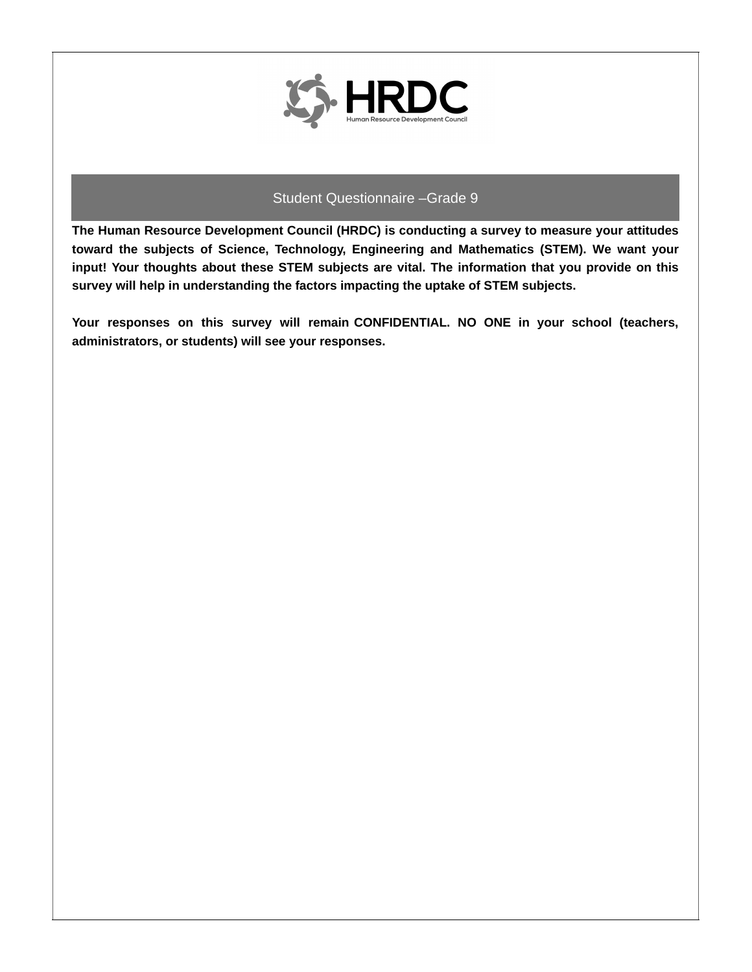

**The Human Resource Development Council (HRDC) is conducting a survey to measure your attitudes toward the subjects of Science, Technology, Engineering and Mathematics (STEM). We want your input! Your thoughts about these STEM subjects are vital. The information that you provide on this survey will help in understanding the factors impacting the uptake of STEM subjects.**

**Your responses on this survey will remain CONFIDENTIAL. NO ONE in your school (teachers, administrators, or students) will see your responses.**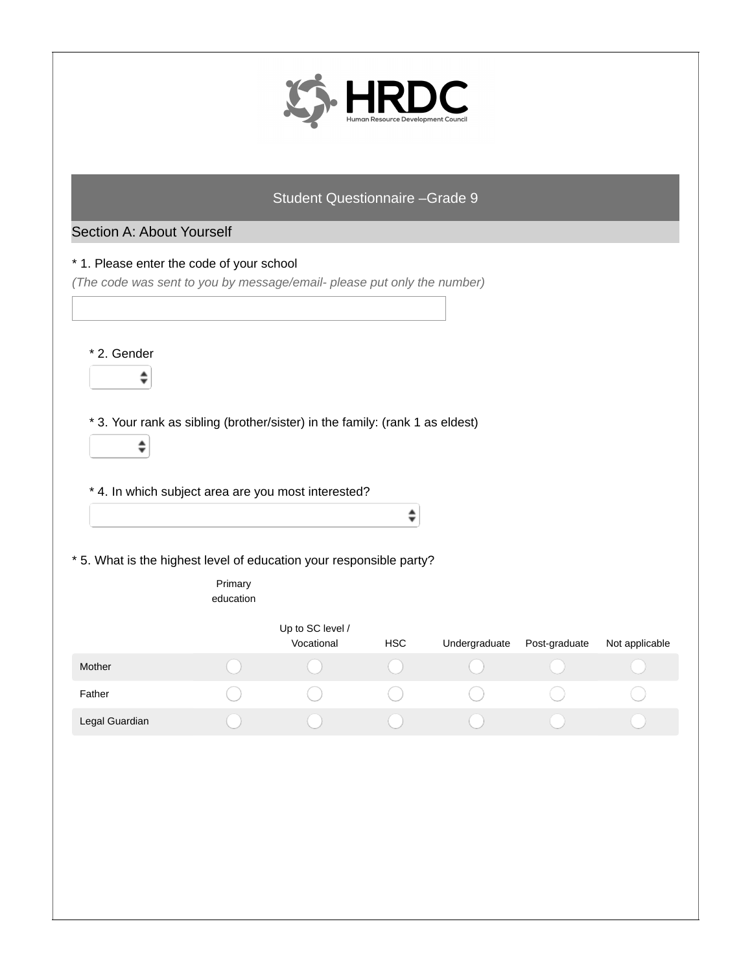

## Section A: About Yourself

#### \* 1. Please enter the code of your school

*(The code was sent to you by message/email- please put only the number)*

\* 2. Gender

 $\hat{\mathbf{z}}$ 

 $\spadesuit$ 

\* 3. Your rank as sibling (brother/sister) in the family: (rank 1 as eldest)

\* 4. In which subject area are you most interested?

\* 5. What is the highest level of education your responsible party?

|                | Primary<br>education |                                |            |               |               |                |
|----------------|----------------------|--------------------------------|------------|---------------|---------------|----------------|
|                |                      | Up to SC level /<br>Vocational | <b>HSC</b> | Undergraduate | Post-graduate | Not applicable |
| <b>Mother</b>  |                      |                                |            |               |               |                |
| Father         |                      |                                |            |               |               |                |
| Legal Guardian |                      |                                |            |               |               |                |

 $\hat{\mathbf{z}}$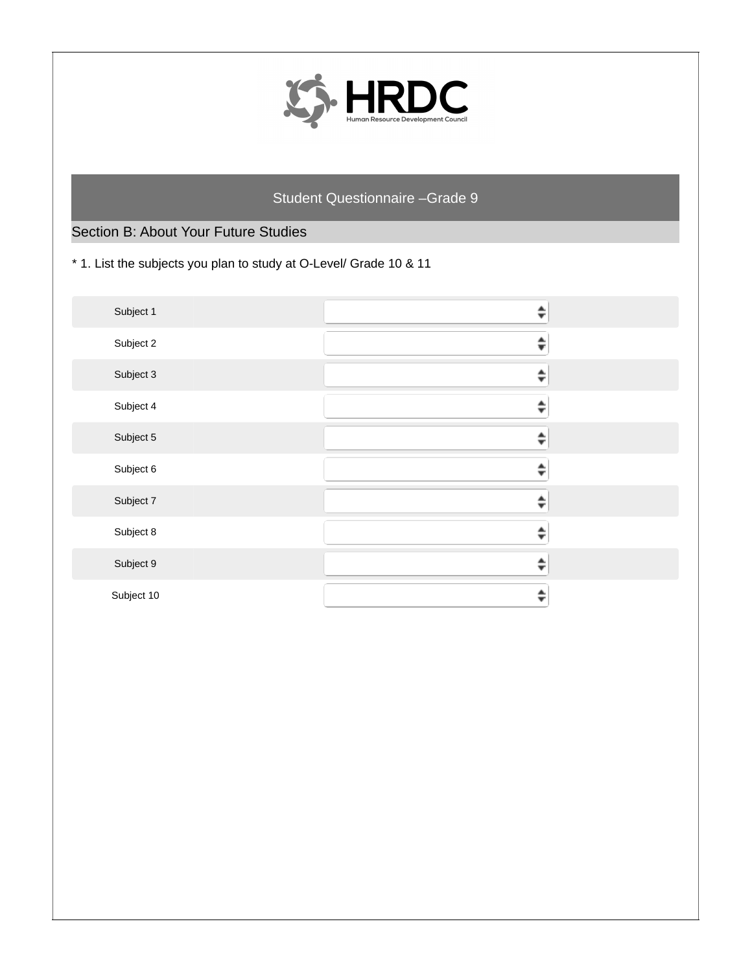

# Section B: About Your Future Studies

\* 1. List the subjects you plan to study at O-Level/ Grade 10 & 11

| Subject 1  |   |  |
|------------|---|--|
| Subject 2  |   |  |
| Subject 3  |   |  |
| Subject 4  |   |  |
| Subject 5  | ┻ |  |
| Subject 6  |   |  |
| Subject 7  |   |  |
| Subject 8  |   |  |
| Subject 9  |   |  |
| Subject 10 |   |  |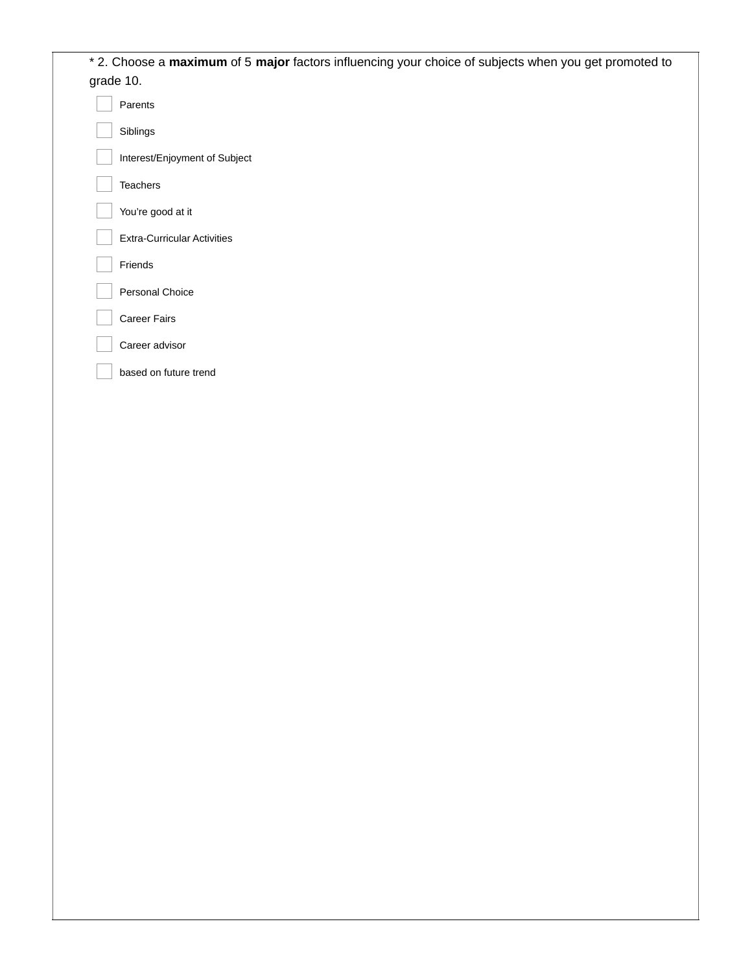| * 2. Choose a maximum of 5 major factors influencing your choice of subjects when you get promoted to |  |
|-------------------------------------------------------------------------------------------------------|--|
| grade 10.                                                                                             |  |
| Parents                                                                                               |  |
| Siblings                                                                                              |  |
| Interest/Enjoyment of Subject                                                                         |  |
| Teachers                                                                                              |  |
| You're good at it                                                                                     |  |
| <b>Extra-Curricular Activities</b>                                                                    |  |
| Friends                                                                                               |  |
| Personal Choice                                                                                       |  |
| Career Fairs                                                                                          |  |
| Career advisor                                                                                        |  |
| based on future trend                                                                                 |  |
|                                                                                                       |  |
|                                                                                                       |  |
|                                                                                                       |  |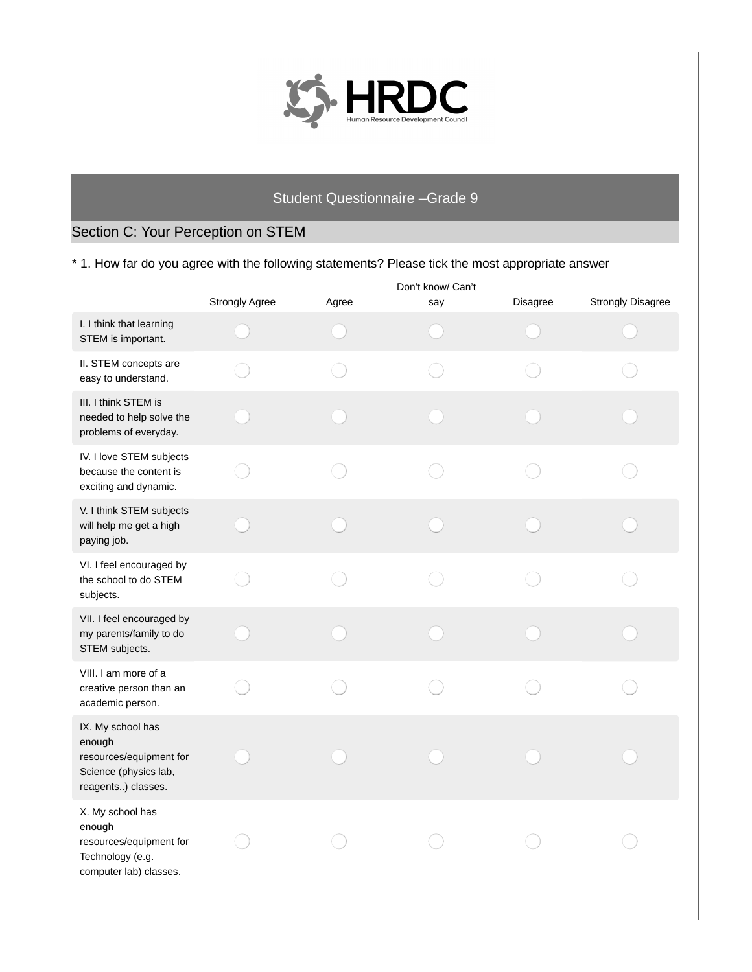

# Section C: Your Perception on STEM

\* 1. How far do you agree with the following statements? Please tick the most appropriate answer

|                                                                                                       | <b>Strongly Agree</b> | Agree | Don't know/ Can't<br>say | <b>Disagree</b> | <b>Strongly Disagree</b> |
|-------------------------------------------------------------------------------------------------------|-----------------------|-------|--------------------------|-----------------|--------------------------|
| I. I think that learning<br>STEM is important.                                                        |                       |       |                          |                 |                          |
| II. STEM concepts are<br>easy to understand.                                                          |                       |       |                          |                 |                          |
| III. I think STEM is<br>needed to help solve the<br>problems of everyday.                             |                       |       |                          |                 |                          |
| IV. I love STEM subjects<br>because the content is<br>exciting and dynamic.                           |                       |       |                          |                 |                          |
| V. I think STEM subjects<br>will help me get a high<br>paying job.                                    |                       |       |                          |                 |                          |
| VI. I feel encouraged by<br>the school to do STEM<br>subjects.                                        |                       |       |                          |                 |                          |
| VII. I feel encouraged by<br>my parents/family to do<br>STEM subjects.                                |                       |       |                          |                 |                          |
| VIII. I am more of a<br>creative person than an<br>academic person.                                   |                       |       |                          |                 |                          |
| IX. My school has<br>enough<br>resources/equipment for<br>Science (physics lab,<br>reagents) classes. |                       |       |                          |                 |                          |
| X. My school has<br>enough<br>resources/equipment for<br>Technology (e.g.<br>computer lab) classes.   |                       |       |                          |                 |                          |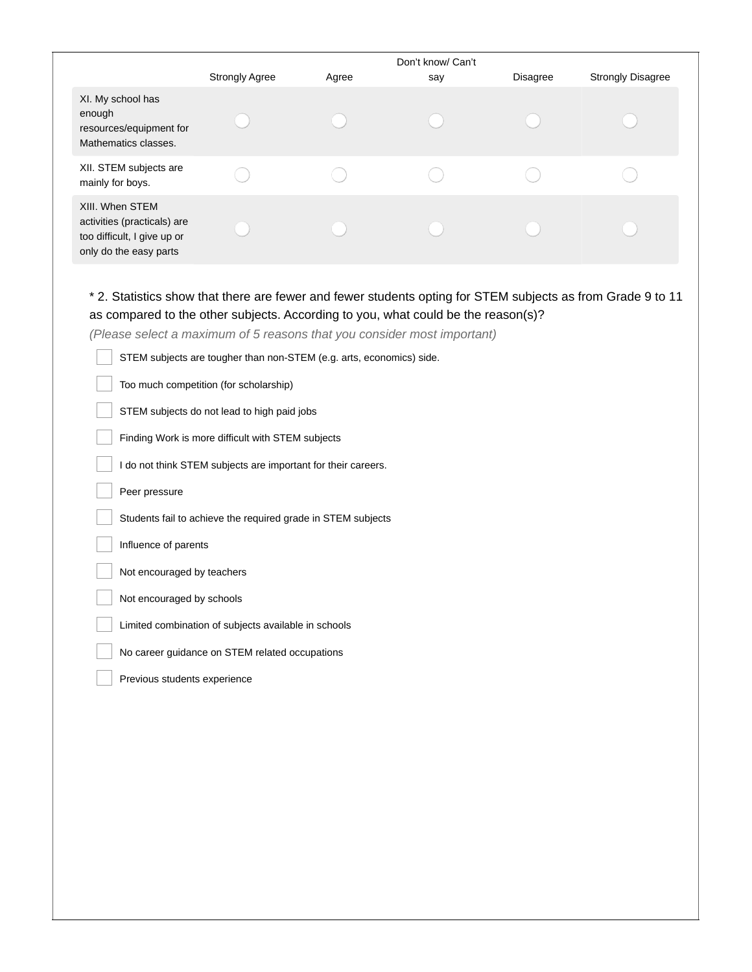|                                                                                                         |                       |       | Don't know/ Can't |          |                          |
|---------------------------------------------------------------------------------------------------------|-----------------------|-------|-------------------|----------|--------------------------|
|                                                                                                         | <b>Strongly Agree</b> | Agree | say               | Disagree | <b>Strongly Disagree</b> |
| XI. My school has<br>enough<br>resources/equipment for<br>Mathematics classes.                          |                       |       |                   |          |                          |
| XII. STEM subjects are<br>mainly for boys.                                                              |                       |       |                   |          |                          |
| XIII. When STEM<br>activities (practicals) are<br>too difficult, I give up or<br>only do the easy parts |                       |       |                   |          |                          |

# \* 2. Statistics show that there are fewer and fewer students opting for STEM subjects as from Grade 9 to 11 as compared to the other subjects. According to you, what could be the reason(s)?

*(Please select a maximum of 5 reasons that you consider most important)*

| STEM subjects are tougher than non-STEM (e.g. arts, economics) side. |
|----------------------------------------------------------------------|
| Too much competition (for scholarship)                               |
| STEM subjects do not lead to high paid jobs                          |
| Finding Work is more difficult with STEM subjects                    |
| I do not think STEM subjects are important for their careers.        |
| Peer pressure                                                        |
| Students fail to achieve the required grade in STEM subjects         |
| Influence of parents                                                 |
| Not encouraged by teachers                                           |
| Not encouraged by schools                                            |
| Limited combination of subjects available in schools                 |
| No career guidance on STEM related occupations                       |
| Previous students experience                                         |
|                                                                      |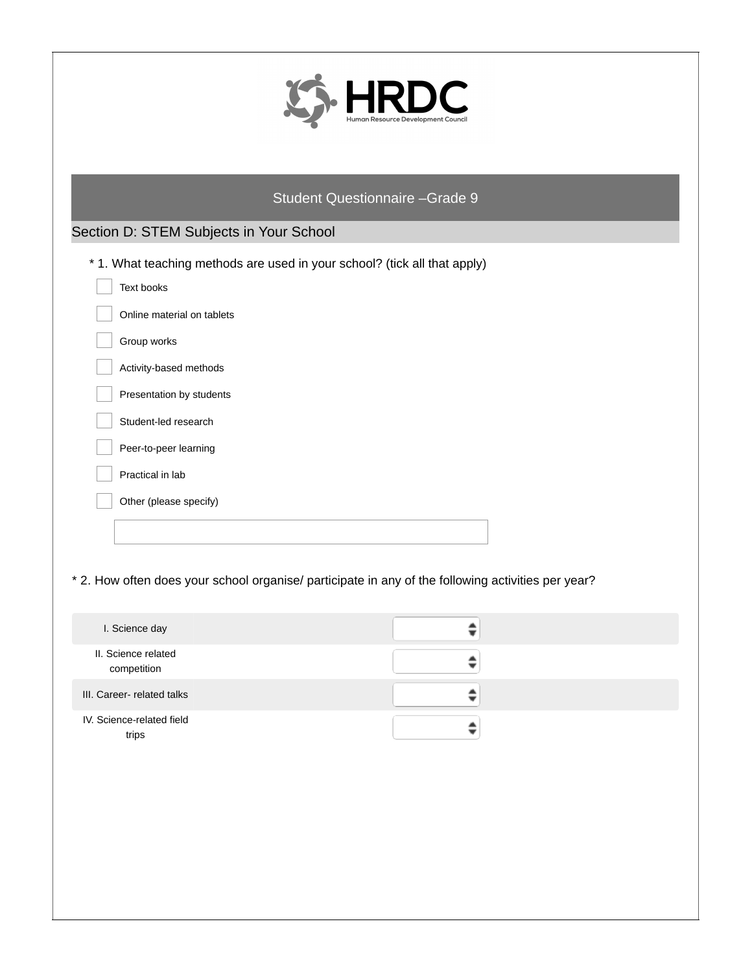|                                           | Student Questionnaire - Grade 9                                                                         |  |
|-------------------------------------------|---------------------------------------------------------------------------------------------------------|--|
| Section D: STEM Subjects in Your School   |                                                                                                         |  |
|                                           | * 1. What teaching methods are used in your school? (tick all that apply)                               |  |
| Text books                                |                                                                                                         |  |
| Online material on tablets<br>Group works |                                                                                                         |  |
| Activity-based methods                    |                                                                                                         |  |
| Presentation by students                  |                                                                                                         |  |
| Student-led research                      |                                                                                                         |  |
| Peer-to-peer learning                     |                                                                                                         |  |
| Practical in lab                          |                                                                                                         |  |
| Other (please specify)                    |                                                                                                         |  |
|                                           |                                                                                                         |  |
| I. Science day                            | * 2. How often does your school organise/ participate in any of the following activities per year?<br>≑ |  |
| II. Science related                       | ≑                                                                                                       |  |
| competition<br>III. Career- related talks | ≑                                                                                                       |  |
| IV. Science-related field                 |                                                                                                         |  |
| trips                                     | $\hat{ }$                                                                                               |  |
|                                           |                                                                                                         |  |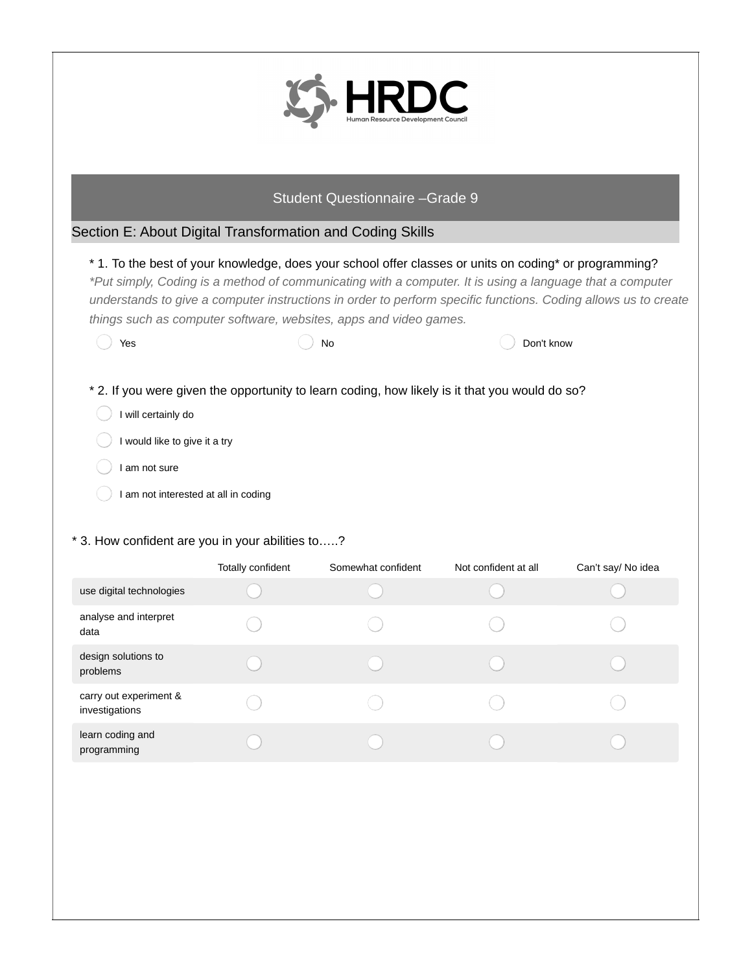

## Section E: About Digital Transformation and Coding Skills

## \* 1. To the best of your knowledge, does your school offer classes or units on coding\* or programming?

\*Put simply, Coding is a method of communicating with a computer. It is using a language that a computer understands to give a computer instructions in order to perform specific functions. Coding allows us to create *things such as computer software, websites, apps and video games.*

| Yes                           | No | Don't know                                                                                     |
|-------------------------------|----|------------------------------------------------------------------------------------------------|
|                               |    |                                                                                                |
|                               |    |                                                                                                |
|                               |    | * 2. If you were given the opportunity to learn coding, how likely is it that you would do so? |
| I will certainly do           |    |                                                                                                |
| I would like to give it a try |    |                                                                                                |

- I am not sure
- I am not interested at all in coding

#### \* 3. How confident are you in your abilities to…..?

|                                          | Totally confident | Somewhat confident | Not confident at all | Can't say/ No idea |
|------------------------------------------|-------------------|--------------------|----------------------|--------------------|
| use digital technologies                 |                   |                    |                      |                    |
| analyse and interpret<br>data            |                   |                    |                      |                    |
| design solutions to<br>problems          |                   |                    |                      |                    |
| carry out experiment &<br>investigations |                   |                    |                      |                    |
| learn coding and<br>programming          |                   |                    |                      |                    |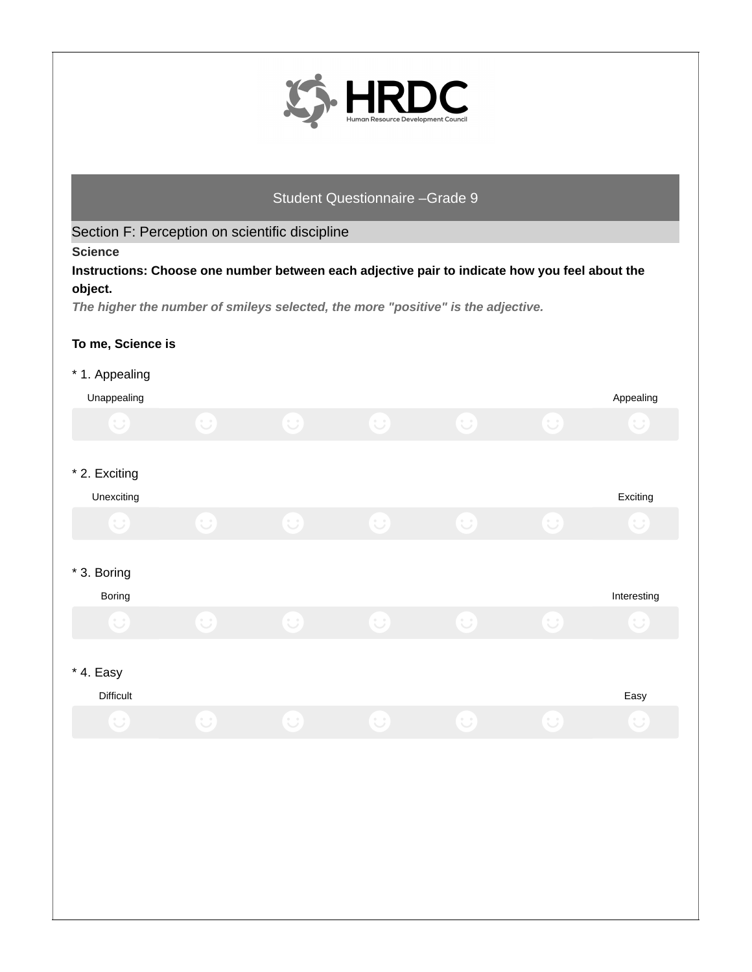

Section F: Perception on scientific discipline

**Science**

**Instructions: Choose one number between each adjective pair to indicate how you feel about the object.**

*The higher the number of smileys selected, the more "positive" is the adjective.*

#### **To me, Science is**

## \* 1. Appealing

| Unappealing                 |           |            |            |            |              | Appealing   |
|-----------------------------|-----------|------------|------------|------------|--------------|-------------|
| $\bigodot$                  | $\cup$    | $\bigcirc$ | $\bigodot$ | $\bigodot$ | $\mathbf{C}$ | $\cup$      |
| * 2. Exciting<br>Unexciting |           |            |            |            |              | Exciting    |
| $\bigodot$                  | $\bigcup$ | $\bigodot$ | $\bigodot$ | $\bigodot$ | $\bigodot$   | $\cup$      |
| * 3. Boring<br>Boring       |           |            |            |            |              | Interesting |
| $\bigcup$                   | $\cup$    | $\bigodot$ | $\bigodot$ | $\cup$     | $\odot$      | $\cup$      |
| * 4. Easy<br>Difficult      |           |            |            |            |              | Easy        |
| $\cup$                      | $\cup$    | $\cup$     | $\cup$     | $\cup$     | $\cup$       | $\cup$      |
|                             |           |            |            |            |              |             |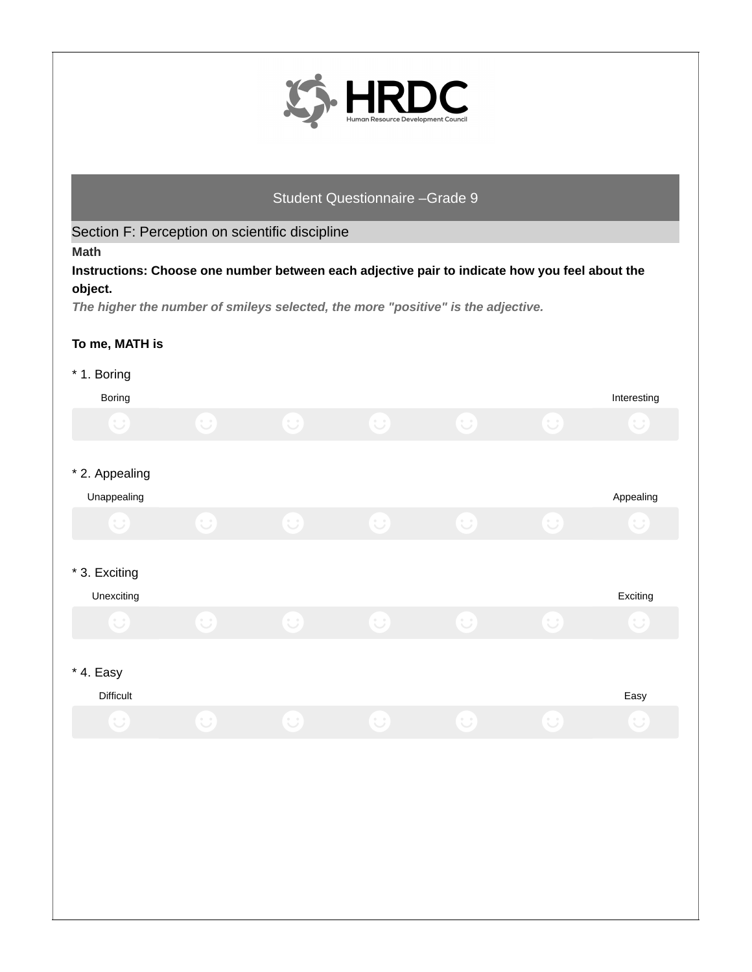

Section F: Perception on scientific discipline

**Math**

**Instructions: Choose one number between each adjective pair to indicate how you feel about the object.**

*The higher the number of smileys selected, the more "positive" is the adjective.*

#### **To me, MATH is**

## \* 1. Boring

| <b>Boring</b>                 |            |            |              |            |              | Interesting |
|-------------------------------|------------|------------|--------------|------------|--------------|-------------|
| $\bigodot$                    | $\bigodot$ | $\bigcirc$ | $\bigcirc$   | $\bigcirc$ | $\cup$       | $\bigcup$   |
| * 2. Appealing<br>Unappealing |            |            |              |            |              | Appealing   |
| $\cup$                        | $\bigodot$ | $\bigcirc$ | $\bigodot$   | $\bigodot$ | $\bigodot$   | $\bigcup$   |
| * 3. Exciting<br>Unexciting   |            |            |              |            |              | Exciting    |
| $\bigodot$                    | $\odot$    | $\bigodot$ | $\mathbf{C}$ | $\bigodot$ | $\mathbf{C}$ | $\cup$      |
| $*$ 4. Easy<br>Difficult      |            |            |              |            |              | Easy        |
| $\cup$                        | $\bigcup$  | $\odot$    | $\bigodot$   | $\bigodot$ | $\cup$       | $\cup$      |
|                               |            |            |              |            |              |             |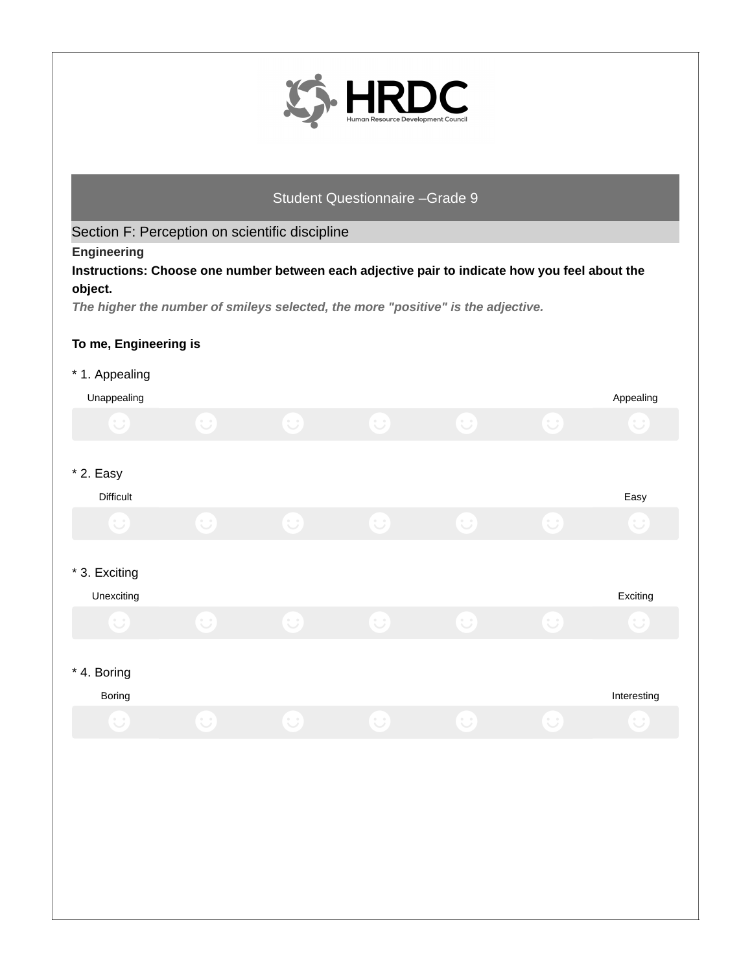

Section F: Perception on scientific discipline

**Engineering**

**Instructions: Choose one number between each adjective pair to indicate how you feel about the object.**

*The higher the number of smileys selected, the more "positive" is the adjective.*

## **To me, Engineering is**

#### \* 1. Appealing

| . .                         |                        |            |            |            |              |             |
|-----------------------------|------------------------|------------|------------|------------|--------------|-------------|
| Unappealing                 |                        |            |            |            |              | Appealing   |
| $\cup$                      | $\odot$                | $\bigodot$ | $\bigodot$ | $\bigodot$ | $\mathbf{C}$ | $\cup$      |
| $*$ 2. Easy                 |                        |            |            |            |              |             |
| Difficult                   |                        |            |            |            |              | Easy        |
| $\cup$                      | $\cup$                 | $\bigcup$  | $\cup$     | $\cup$     | $\cup$       | $\bigcup$   |
|                             |                        |            |            |            |              |             |
| * 3. Exciting<br>Unexciting |                        |            |            |            |              | Exciting    |
| $\cup$                      | $\cup$                 | $\bigcup$  | $\cup$     | $\cup$     | $\cup$       |             |
|                             |                        |            |            |            |              |             |
| * 4. Boring                 |                        |            |            |            |              |             |
| Boring                      |                        |            |            |            |              | Interesting |
| $(\cup)$                    | $\left(\bigcup\right)$ | $\odot$    | $\bigodot$ | $\bigodot$ | $\left( $    | $\cup$      |
|                             |                        |            |            |            |              |             |
|                             |                        |            |            |            |              |             |
|                             |                        |            |            |            |              |             |
|                             |                        |            |            |            |              |             |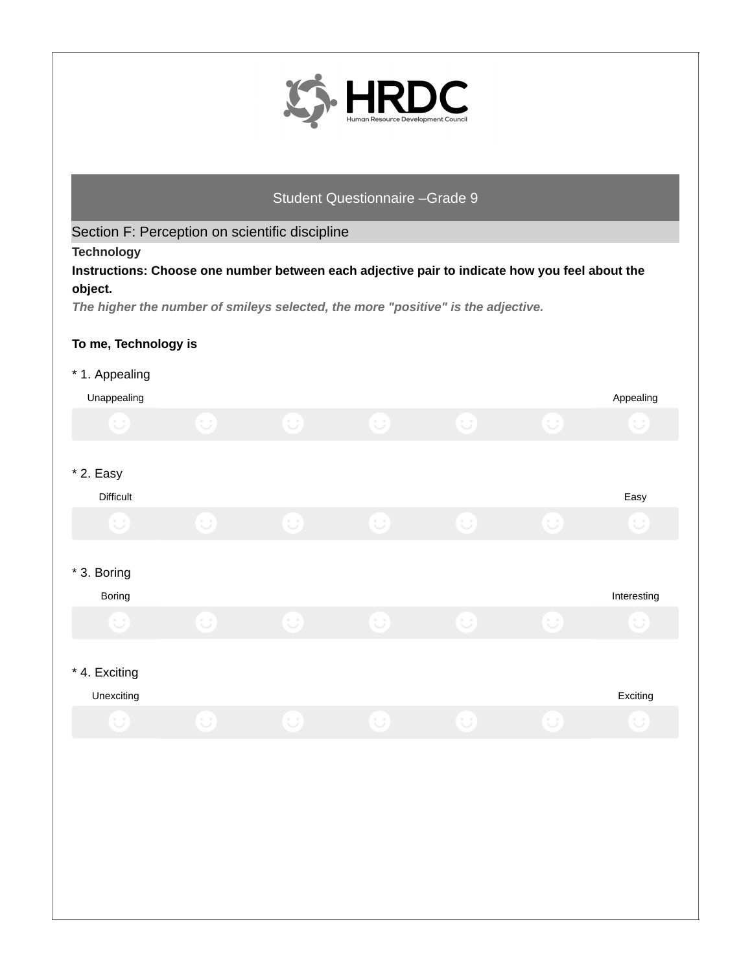

Section F: Perception on scientific discipline

**Technology**

**Instructions: Choose one number between each adjective pair to indicate how you feel about the object.**

*The higher the number of smileys selected, the more "positive" is the adjective.*

## **To me, Technology is**

#### \* 1. Appealing

| $\sim$<br>Unappealing |            |            |            |            |              | Appealing    |
|-----------------------|------------|------------|------------|------------|--------------|--------------|
| $\bigodot$            | $\bigodot$ | $\odot$    | $\bigodot$ | $\bigodot$ | $\mathbf{C}$ | $\cup$       |
|                       |            |            |            |            |              |              |
| $*$ 2. Easy           |            |            |            |            |              |              |
| Difficult             |            |            |            |            |              | Easy         |
| $\mathbf{C}$          | $\bigodot$ | $\bigodot$ | $\bigodot$ | $\bigodot$ | $\mathbf{C}$ | $\cup$       |
|                       |            |            |            |            |              |              |
| * 3. Boring           |            |            |            |            |              |              |
| Boring                |            |            |            |            |              | Interesting  |
| $\bullet$             | $\bigodot$ | $\bigodot$ | $\bigodot$ | $\bigodot$ | $\mathbf{C}$ | $\cup$       |
|                       |            |            |            |            |              |              |
| * 4. Exciting         |            |            |            |            |              |              |
| Unexciting            |            |            |            |            |              | Exciting     |
| 9                     | $\bigcup$  | $\bigodot$ | $\bigodot$ | $\bigodot$ | $\left( $    | $\mathbf{C}$ |
|                       |            |            |            |            |              |              |
|                       |            |            |            |            |              |              |
|                       |            |            |            |            |              |              |
|                       |            |            |            |            |              |              |
|                       |            |            |            |            |              |              |
|                       |            |            |            |            |              |              |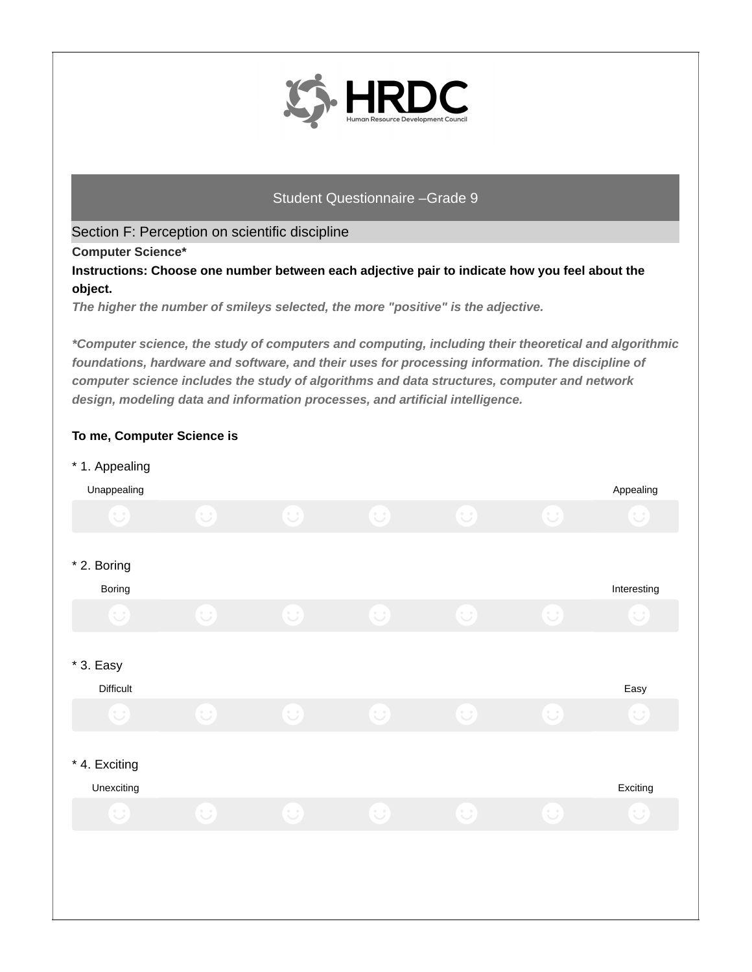

Section F: Perception on scientific discipline

**Computer Science\***

**Instructions: Choose one number between each adjective pair to indicate how you feel about the object.**

*The higher the number of smileys selected, the more "positive" is the adjective.*

*\*Computer science, the study of computers and computing, including their theoretical and algorithmic foundations, hardware and software, and their uses for processing information. The discipline of computer science includes the study of algorithms and data structures, computer and network design, modeling data and information processes, and artificial intelligence.*

# Unappealing Appealing \* 1. Appealing Boring Interesting Interesting Interesting Interesting Interesting Interesting Interesting Interesting Interesting \* 2. Boring Difficult Easy \* 3. Easy Unexciting Exciting \* 4. Exciting

# **To me, Computer Science is**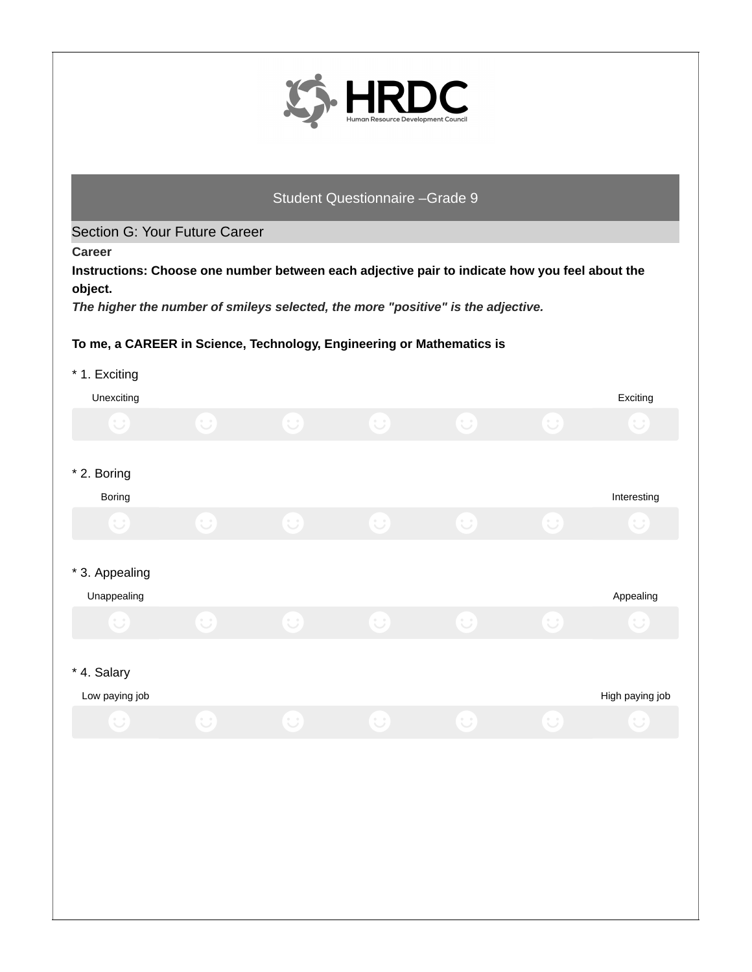

#### Section G: Your Future Career

**Career**

**Instructions: Choose one number between each adjective pair to indicate how you feel about the object.**

*The higher the number of smileys selected, the more "positive" is the adjective.*

## **To me, a CAREER in Science, Technology, Engineering or Mathematics is**

| * 1. Exciting  |            |            |                        |            |                        |                 |
|----------------|------------|------------|------------------------|------------|------------------------|-----------------|
| Unexciting     |            |            |                        |            |                        | Exciting        |
| $\cup$         | $\bigcirc$ | $\bigcirc$ | $\bigcirc$             | $\bigodot$ | $\bigodot$             | $\cup$          |
| * 2. Boring    |            |            |                        |            |                        |                 |
| Boring         |            |            |                        |            |                        | Interesting     |
| $\cup$         | $\bigcup$  | $\cup$     | $\cup$                 | $\cup$     | $\cup$                 |                 |
| * 3. Appealing |            |            |                        |            |                        |                 |
| Unappealing    |            |            |                        |            |                        | Appealing       |
| $\cup$         | $\cup$     | $\cup$     | $\bigodot$             | $\cup$     | $\left(\bigcup\right)$ |                 |
| * 4. Salary    |            |            |                        |            |                        |                 |
| Low paying job |            |            |                        |            |                        | High paying job |
| $\cup$         | $\bigcup$  | $\bigodot$ | $\left(\bigcup\right)$ | $\bigcup$  | $\cup$                 | $\cup$          |
|                |            |            |                        |            |                        |                 |
|                |            |            |                        |            |                        |                 |
|                |            |            |                        |            |                        |                 |
|                |            |            |                        |            |                        |                 |
|                |            |            |                        |            |                        |                 |
|                |            |            |                        |            |                        |                 |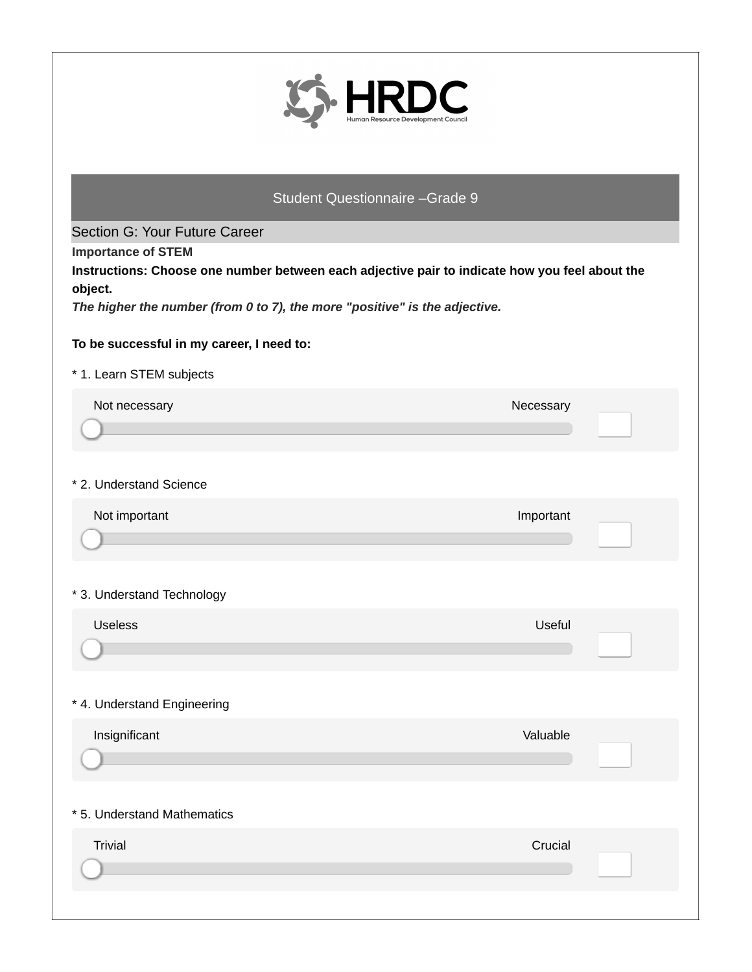

Section G: Your Future Career

**Importance of STEM**

**Instructions: Choose one number between each adjective pair to indicate how you feel about the object.**

*The higher the number (from 0 to 7), the more "positive" is the adjective.*

## **To be successful in my career, I need to:**

#### \* 1. Learn STEM subjects

| Not necessary               | Necessary |  |
|-----------------------------|-----------|--|
| * 2. Understand Science     |           |  |
| Not important               | Important |  |
| * 3. Understand Technology  |           |  |
| <b>Useless</b>              | Useful    |  |
| * 4. Understand Engineering |           |  |
| Insignificant               | Valuable  |  |
| * 5. Understand Mathematics |           |  |
| <b>Trivial</b>              | Crucial   |  |